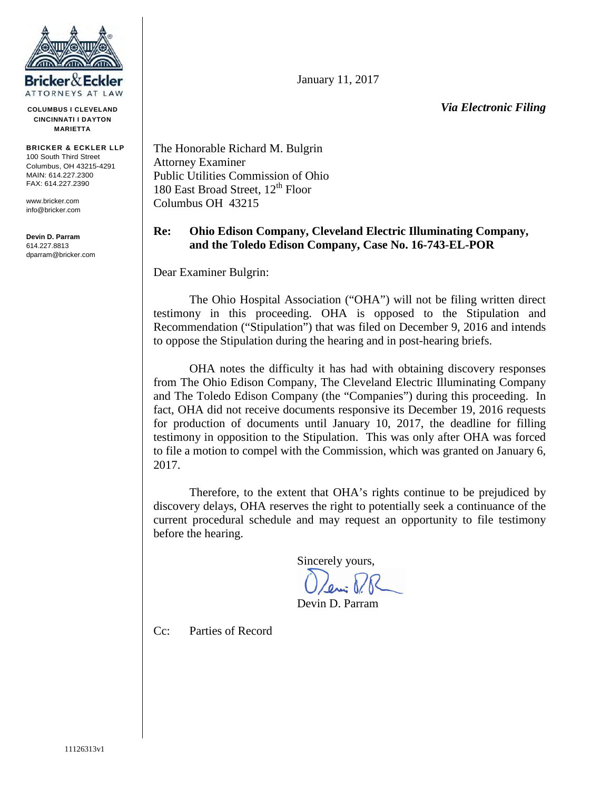

**COLUMBUS I CLEVELAND CINCINNATI I DAYTON MARIETTA**

**BRICKER & ECKLER LLP** 100 South Third Street Columbus, OH 43215-4291 MAIN: 614.227.2300 FAX: 614.227.2390

www.bricker.com info@bricker.com

**Devin D. Parram** 614.227.8813 dparram@bricker.com January 11, 2017

*Via Electronic Filing*

The Honorable Richard M. Bulgrin Attorney Examiner Public Utilities Commission of Ohio 180 East Broad Street,  $12<sup>th</sup>$  Floor Columbus OH 43215

## **Re: Ohio Edison Company, Cleveland Electric Illuminating Company, and the Toledo Edison Company, Case No. 16-743-EL-POR**

Dear Examiner Bulgrin:

The Ohio Hospital Association ("OHA") will not be filing written direct testimony in this proceeding. OHA is opposed to the Stipulation and Recommendation ("Stipulation") that was filed on December 9, 2016 and intends to oppose the Stipulation during the hearing and in post-hearing briefs.

OHA notes the difficulty it has had with obtaining discovery responses from The Ohio Edison Company, The Cleveland Electric Illuminating Company and The Toledo Edison Company (the "Companies") during this proceeding. In fact, OHA did not receive documents responsive its December 19, 2016 requests for production of documents until January 10, 2017, the deadline for filling testimony in opposition to the Stipulation. This was only after OHA was forced to file a motion to compel with the Commission, which was granted on January 6, 2017.

Therefore, to the extent that OHA's rights continue to be prejudiced by discovery delays, OHA reserves the right to potentially seek a continuance of the current procedural schedule and may request an opportunity to file testimony before the hearing.

Sincerely yours,

Devin D. Parram

Cc: Parties of Record